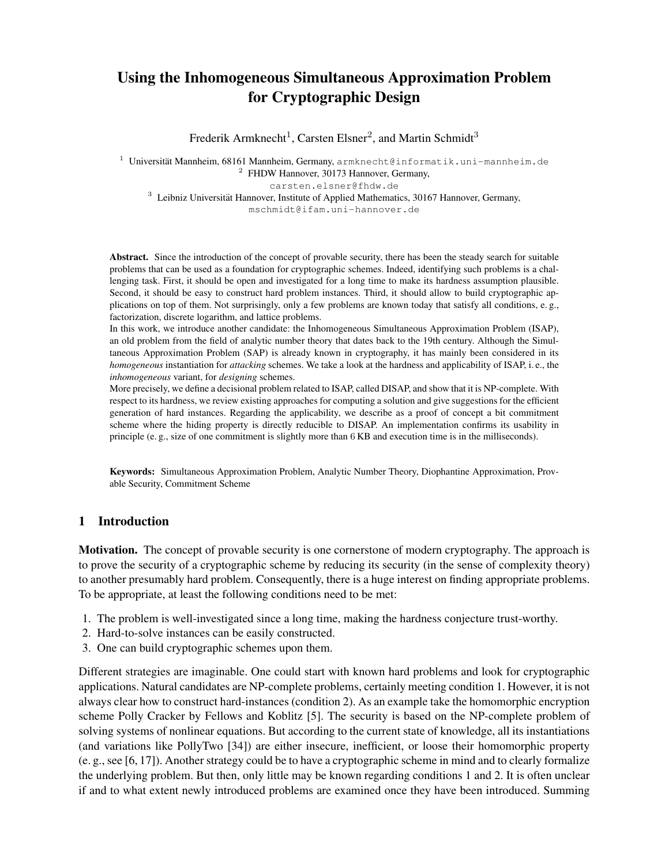# Using the Inhomogeneous Simultaneous Approximation Problem for Cryptographic Design

Frederik Armknecht<sup>1</sup>, Carsten Elsner<sup>2</sup>, and Martin Schmidt<sup>3</sup>

<sup>1</sup> Universität Mannheim, 68161 Mannheim, Germany, armknecht@informatik.uni-mannheim.de <sup>2</sup> FHDW Hannover, 30173 Hannover, Germany,

carsten.elsner@fhdw.de

 $3$  Leibniz Universität Hannover, Institute of Applied Mathematics, 30167 Hannover, Germany,

mschmidt@ifam.uni-hannover.de

Abstract. Since the introduction of the concept of provable security, there has been the steady search for suitable problems that can be used as a foundation for cryptographic schemes. Indeed, identifying such problems is a challenging task. First, it should be open and investigated for a long time to make its hardness assumption plausible. Second, it should be easy to construct hard problem instances. Third, it should allow to build cryptographic applications on top of them. Not surprisingly, only a few problems are known today that satisfy all conditions, e. g., factorization, discrete logarithm, and lattice problems.

In this work, we introduce another candidate: the Inhomogeneous Simultaneous Approximation Problem (ISAP), an old problem from the field of analytic number theory that dates back to the 19th century. Although the Simultaneous Approximation Problem (SAP) is already known in cryptography, it has mainly been considered in its *homogeneous* instantiation for *attacking* schemes. We take a look at the hardness and applicability of ISAP, i. e., the *inhomogeneous* variant, for *designing* schemes.

More precisely, we define a decisional problem related to ISAP, called DISAP, and show that it is NP-complete. With respect to its hardness, we review existing approaches for computing a solution and give suggestions for the efficient generation of hard instances. Regarding the applicability, we describe as a proof of concept a bit commitment scheme where the hiding property is directly reducible to DISAP. An implementation confirms its usability in principle (e. g., size of one commitment is slightly more than 6 KB and execution time is in the milliseconds).

Keywords: Simultaneous Approximation Problem, Analytic Number Theory, Diophantine Approximation, Provable Security, Commitment Scheme

# 1 Introduction

Motivation. The concept of provable security is one cornerstone of modern cryptography. The approach is to prove the security of a cryptographic scheme by reducing its security (in the sense of complexity theory) to another presumably hard problem. Consequently, there is a huge interest on finding appropriate problems. To be appropriate, at least the following conditions need to be met:

- 1. The problem is well-investigated since a long time, making the hardness conjecture trust-worthy.
- 2. Hard-to-solve instances can be easily constructed.
- 3. One can build cryptographic schemes upon them.

Different strategies are imaginable. One could start with known hard problems and look for cryptographic applications. Natural candidates are NP-complete problems, certainly meeting condition 1. However, it is not always clear how to construct hard-instances (condition 2). As an example take the homomorphic encryption scheme Polly Cracker by Fellows and Koblitz [5]. The security is based on the NP-complete problem of solving systems of nonlinear equations. But according to the current state of knowledge, all its instantiations (and variations like PollyTwo [34]) are either insecure, inefficient, or loose their homomorphic property (e. g., see [6, 17]). Another strategy could be to have a cryptographic scheme in mind and to clearly formalize the underlying problem. But then, only little may be known regarding conditions 1 and 2. It is often unclear if and to what extent newly introduced problems are examined once they have been introduced. Summing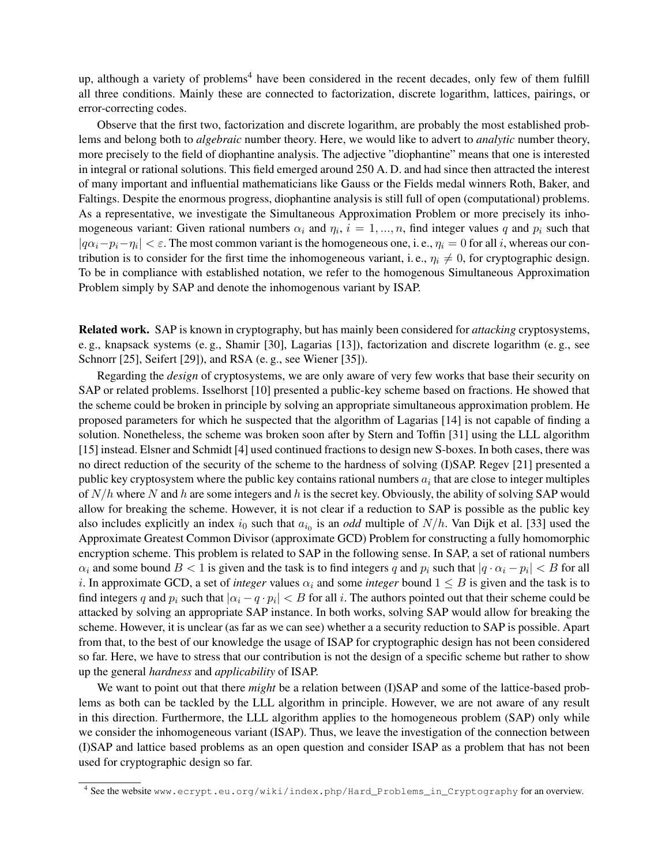up, although a variety of problems<sup>4</sup> have been considered in the recent decades, only few of them fulfill all three conditions. Mainly these are connected to factorization, discrete logarithm, lattices, pairings, or error-correcting codes.

Observe that the first two, factorization and discrete logarithm, are probably the most established problems and belong both to *algebraic* number theory. Here, we would like to advert to *analytic* number theory, more precisely to the field of diophantine analysis. The adjective "diophantine" means that one is interested in integral or rational solutions. This field emerged around 250 A. D. and had since then attracted the interest of many important and influential mathematicians like Gauss or the Fields medal winners Roth, Baker, and Faltings. Despite the enormous progress, diophantine analysis is still full of open (computational) problems. As a representative, we investigate the Simultaneous Approximation Problem or more precisely its inhomogeneous variant: Given rational numbers  $\alpha_i$  and  $\eta_i$ ,  $i = 1, ..., n$ , find integer values q and  $p_i$  such that  $|q\alpha_i-p_i-\eta_i| < \varepsilon$ . The most common variant is the homogeneous one, i. e.,  $\eta_i = 0$  for all i, whereas our contribution is to consider for the first time the inhomogeneous variant, i.e.,  $\eta_i \neq 0$ , for cryptographic design. To be in compliance with established notation, we refer to the homogenous Simultaneous Approximation Problem simply by SAP and denote the inhomogenous variant by ISAP.

Related work. SAP is known in cryptography, but has mainly been considered for *attacking* cryptosystems, e. g., knapsack systems (e. g., Shamir [30], Lagarias [13]), factorization and discrete logarithm (e. g., see Schnorr [25], Seifert [29]), and RSA (e.g., see Wiener [35]).

Regarding the *design* of cryptosystems, we are only aware of very few works that base their security on SAP or related problems. Isselhorst [10] presented a public-key scheme based on fractions. He showed that the scheme could be broken in principle by solving an appropriate simultaneous approximation problem. He proposed parameters for which he suspected that the algorithm of Lagarias [14] is not capable of finding a solution. Nonetheless, the scheme was broken soon after by Stern and Toffin [31] using the LLL algorithm [15] instead. Elsner and Schmidt [4] used continued fractions to design new S-boxes. In both cases, there was no direct reduction of the security of the scheme to the hardness of solving (I)SAP. Regev [21] presented a public key cryptosystem where the public key contains rational numbers  $a_i$  that are close to integer multiples of  $N/h$  where N and h are some integers and h is the secret key. Obviously, the ability of solving SAP would allow for breaking the scheme. However, it is not clear if a reduction to SAP is possible as the public key also includes explicitly an index  $i_0$  such that  $a_{i_0}$  is an *odd* multiple of  $N/h$ . Van Dijk et al. [33] used the Approximate Greatest Common Divisor (approximate GCD) Problem for constructing a fully homomorphic encryption scheme. This problem is related to SAP in the following sense. In SAP, a set of rational numbers  $\alpha_i$  and some bound  $B < 1$  is given and the task is to find integers q and  $p_i$  such that  $|q \cdot \alpha_i - p_i| < B$  for all i. In approximate GCD, a set of *integer* values  $\alpha_i$  and some *integer* bound  $1 \leq B$  is given and the task is to find integers q and  $p_i$  such that  $|\alpha_i - q \cdot p_i| < B$  for all i. The authors pointed out that their scheme could be attacked by solving an appropriate SAP instance. In both works, solving SAP would allow for breaking the scheme. However, it is unclear (as far as we can see) whether a a security reduction to SAP is possible. Apart from that, to the best of our knowledge the usage of ISAP for cryptographic design has not been considered so far. Here, we have to stress that our contribution is not the design of a specific scheme but rather to show up the general *hardness* and *applicability* of ISAP.

We want to point out that there *might* be a relation between (I)SAP and some of the lattice-based problems as both can be tackled by the LLL algorithm in principle. However, we are not aware of any result in this direction. Furthermore, the LLL algorithm applies to the homogeneous problem (SAP) only while we consider the inhomogeneous variant (ISAP). Thus, we leave the investigation of the connection between (I)SAP and lattice based problems as an open question and consider ISAP as a problem that has not been used for cryptographic design so far.

<sup>4</sup> See the website www.ecrypt.eu.org/wiki/index.php/Hard\_Problems\_in\_Cryptography for an overview.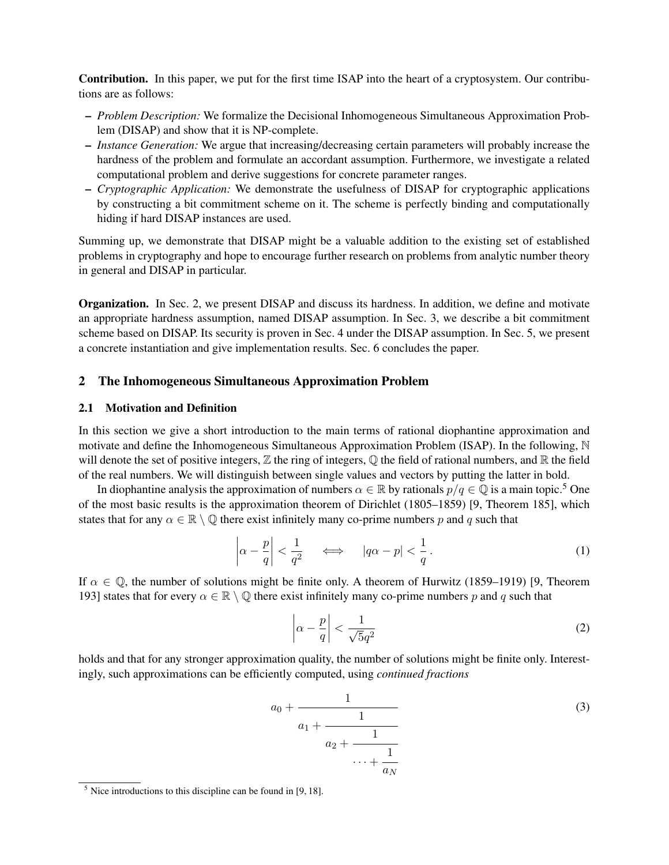Contribution. In this paper, we put for the first time ISAP into the heart of a cryptosystem. Our contributions are as follows:

- *Problem Description:* We formalize the Decisional Inhomogeneous Simultaneous Approximation Problem (DISAP) and show that it is NP-complete.
- *Instance Generation:* We argue that increasing/decreasing certain parameters will probably increase the hardness of the problem and formulate an accordant assumption. Furthermore, we investigate a related computational problem and derive suggestions for concrete parameter ranges.
- *Cryptographic Application:* We demonstrate the usefulness of DISAP for cryptographic applications by constructing a bit commitment scheme on it. The scheme is perfectly binding and computationally hiding if hard DISAP instances are used.

Summing up, we demonstrate that DISAP might be a valuable addition to the existing set of established problems in cryptography and hope to encourage further research on problems from analytic number theory in general and DISAP in particular.

Organization. In Sec. 2, we present DISAP and discuss its hardness. In addition, we define and motivate an appropriate hardness assumption, named DISAP assumption. In Sec. 3, we describe a bit commitment scheme based on DISAP. Its security is proven in Sec. 4 under the DISAP assumption. In Sec. 5, we present a concrete instantiation and give implementation results. Sec. 6 concludes the paper.

# 2 The Inhomogeneous Simultaneous Approximation Problem

## 2.1 Motivation and Definition

In this section we give a short introduction to the main terms of rational diophantine approximation and motivate and define the Inhomogeneous Simultaneous Approximation Problem (ISAP). In the following, N will denote the set of positive integers,  $\mathbb Z$  the ring of integers,  $\mathbb Q$  the field of rational numbers, and  $\mathbb R$  the field of the real numbers. We will distinguish between single values and vectors by putting the latter in bold.

In diophantine analysis the approximation of numbers  $\alpha \in \mathbb{R}$  by rationals  $p/q \in \mathbb{Q}$  is a main topic.<sup>5</sup> One of the most basic results is the approximation theorem of Dirichlet (1805–1859) [9, Theorem 185], which states that for any  $\alpha \in \mathbb{R} \setminus \mathbb{Q}$  there exist infinitely many co-prime numbers p and q such that

$$
\left|\alpha - \frac{p}{q}\right| < \frac{1}{q^2} \quad \iff \quad |q\alpha - p| < \frac{1}{q} \,. \tag{1}
$$

If  $\alpha \in \mathbb{Q}$ , the number of solutions might be finite only. A theorem of Hurwitz (1859–1919) [9, Theorem 193] states that for every  $\alpha \in \mathbb{R} \setminus \mathbb{Q}$  there exist infinitely many co-prime numbers p and q such that

$$
\left|\alpha - \frac{p}{q}\right| < \frac{1}{\sqrt{5}q^2} \tag{2}
$$

holds and that for any stronger approximation quality, the number of solutions might be finite only. Interestingly, such approximations can be efficiently computed, using *continued fractions*

$$
a_0 + \cfrac{1}{a_1 + \cfrac{1}{a_2 + \cfrac{1}{\cdots + \cfrac{1}{a_N}}}}
$$
\n
$$
(3)
$$

 $<sup>5</sup>$  Nice introductions to this discipline can be found in [9, 18].</sup>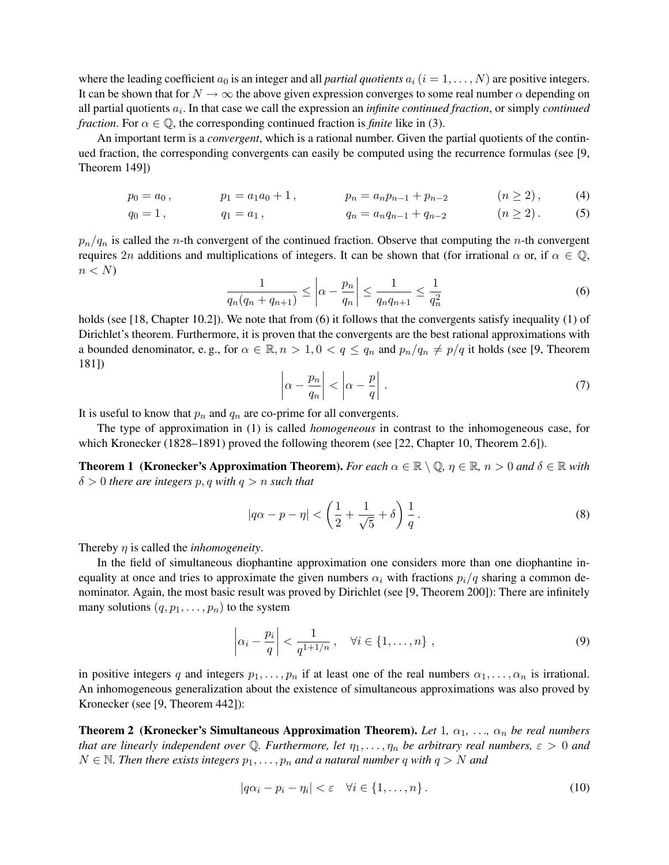where the leading coefficient  $a_0$  is an integer and all *partial quotients*  $a_i$  ( $i = 1, \ldots, N$ ) are positive integers. It can be shown that for  $N \to \infty$  the above given expression converges to some real number  $\alpha$  depending on all partial quotients  $a_i$ . In that case we call the expression an *infinite continued fraction*, or simply *continued fraction*. For  $\alpha \in \mathbb{Q}$ , the corresponding continued fraction is *finite* like in (3).

An important term is a *convergent*, which is a rational number. Given the partial quotients of the continued fraction, the corresponding convergents can easily be computed using the recurrence formulas (see [9, Theorem 149])

$$
p_0 = a_0, \qquad p_1 = a_1 a_0 + 1, \qquad p_n = a_n p_{n-1} + p_{n-2} \qquad (n \ge 2), \qquad (4)
$$

$$
q_0 = 1, \t q_1 = a_1, \t q_n = a_n q_{n-1} + q_{n-2} \t (n \ge 2). \t (5)
$$

 $p_n/q_n$  is called the *n*-th convergent of the continued fraction. Observe that computing the *n*-th convergent requires 2n additions and multiplications of integers. It can be shown that (for irrational  $\alpha$  or, if  $\alpha \in \mathbb{Q}$ ,  $n < N$ 

$$
\frac{1}{q_n(q_n + q_{n+1})} \le \left| \alpha - \frac{p_n}{q_n} \right| \le \frac{1}{q_n q_{n+1}} \le \frac{1}{q_n^2} \tag{6}
$$

holds (see [18, Chapter 10.2]). We note that from (6) it follows that the convergents satisfy inequality (1) of Dirichlet's theorem. Furthermore, it is proven that the convergents are the best rational approximations with a bounded denominator, e.g., for  $\alpha \in \mathbb{R}, n > 1, 0 < q \le q_n$  and  $p_n/q_n \ne p/q$  it holds (see [9, Theorem 181])  $\mathcal{L}$ 

$$
\left|\alpha - \frac{p_n}{q_n}\right| < \left|\alpha - \frac{p}{q}\right| \,. \tag{7}
$$

It is useful to know that  $p_n$  and  $q_n$  are co-prime for all convergents.

The type of approximation in (1) is called *homogeneous* in contrast to the inhomogeneous case, for which Kronecker (1828–1891) proved the following theorem (see [22, Chapter 10, Theorem 2.6]).

**Theorem 1 (Kronecker's Approximation Theorem).** For each  $\alpha \in \mathbb{R} \setminus \mathbb{Q}$ ,  $\eta \in \mathbb{R}$ ,  $n > 0$  and  $\delta \in \mathbb{R}$  with  $\delta > 0$  *there are integers* p, q with  $q > n$  *such that* 

$$
|q\alpha - p - \eta| < \left(\frac{1}{2} + \frac{1}{\sqrt{5}} + \delta\right) \frac{1}{q} \,. \tag{8}
$$

Thereby η is called the *inhomogeneity*.

In the field of simultaneous diophantine approximation one considers more than one diophantine inequality at once and tries to approximate the given numbers  $\alpha_i$  with fractions  $p_i/q$  sharing a common denominator. Again, the most basic result was proved by Dirichlet (see [9, Theorem 200]): There are infinitely many solutions  $(q, p_1, \ldots, p_n)$  to the system

$$
\left|\alpha_i - \frac{p_i}{q}\right| < \frac{1}{q^{1+1/n}}, \quad \forall i \in \{1, \dots, n\} \tag{9}
$$

in positive integers q and integers  $p_1, \ldots, p_n$  if at least one of the real numbers  $\alpha_1, \ldots, \alpha_n$  is irrational. An inhomogeneous generalization about the existence of simultaneous approximations was also proved by Kronecker (see [9, Theorem 442]):

**Theorem 2** (Kronecker's Simultaneous Approximation Theorem). Let 1,  $\alpha_1$ , ...,  $\alpha_n$  be real numbers *that are linearly independent over* Q. Furthermore, let  $\eta_1, \ldots, \eta_n$  be arbitrary real numbers,  $\varepsilon > 0$  and  $N \in \mathbb{N}$ . Then there exists integers  $p_1, \ldots, p_n$  and a natural number q with  $q > N$  and

$$
|q\alpha_i - p_i - \eta_i| < \varepsilon \quad \forall i \in \{1, \dots, n\} \,. \tag{10}
$$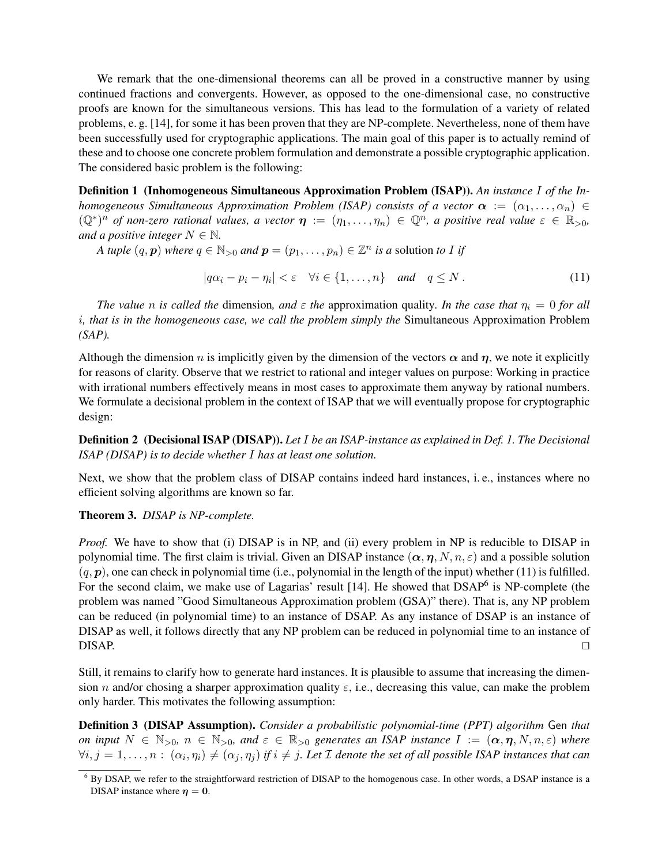We remark that the one-dimensional theorems can all be proved in a constructive manner by using continued fractions and convergents. However, as opposed to the one-dimensional case, no constructive proofs are known for the simultaneous versions. This has lead to the formulation of a variety of related problems, e. g. [14], for some it has been proven that they are NP-complete. Nevertheless, none of them have been successfully used for cryptographic applications. The main goal of this paper is to actually remind of these and to choose one concrete problem formulation and demonstrate a possible cryptographic application. The considered basic problem is the following:

Definition 1 (Inhomogeneous Simultaneous Approximation Problem (ISAP)). *An instance* I *of the Inhomogeneous Simultaneous Approximation Problem (ISAP) consists of a vector*  $\alpha := (\alpha_1, \ldots, \alpha_n) \in$  $(\mathbb{Q}^*)^n$  of non-zero rational values, a vector  $\eta := (\eta_1, \ldots, \eta_n) \in \mathbb{Q}^n$ , a positive real value  $\varepsilon \in \mathbb{R}_{>0}$ , *and a positive integer*  $N \in \mathbb{N}$ .

*A tuple*  $(q, p)$  *where*  $q \in \mathbb{N}_{>0}$  *and*  $p = (p_1, \ldots, p_n) \in \mathbb{Z}^n$  *is a* solution *to* I *if* 

$$
|q\alpha_i - p_i - \eta_i| < \varepsilon \quad \forall i \in \{1, \dots, n\} \quad \text{and} \quad q \le N. \tag{11}
$$

*The value n is called the* dimension, and  $\varepsilon$  *the* approximation quality. In the case that  $\eta_i = 0$  for all i*, that is in the homogeneous case, we call the problem simply the* Simultaneous Approximation Problem *(SAP).*

Although the dimension n is implicitly given by the dimension of the vectors  $\alpha$  and  $\eta$ , we note it explicitly for reasons of clarity. Observe that we restrict to rational and integer values on purpose: Working in practice with irrational numbers effectively means in most cases to approximate them anyway by rational numbers. We formulate a decisional problem in the context of ISAP that we will eventually propose for cryptographic design:

Definition 2 (Decisional ISAP (DISAP)). *Let* I *be an ISAP-instance as explained in Def. 1. The Decisional ISAP (DISAP) is to decide whether* I *has at least one solution.*

Next, we show that the problem class of DISAP contains indeed hard instances, i. e., instances where no efficient solving algorithms are known so far.

### Theorem 3. *DISAP is NP-complete.*

*Proof.* We have to show that (i) DISAP is in NP, and (ii) every problem in NP is reducible to DISAP in polynomial time. The first claim is trivial. Given an DISAP instance  $(\alpha, \eta, N, n, \varepsilon)$  and a possible solution  $(q, p)$ , one can check in polynomial time (i.e., polynomial in the length of the input) whether (11) is fulfilled. For the second claim, we make use of Lagarias' result [14]. He showed that DSAP<sup>6</sup> is NP-complete (the problem was named "Good Simultaneous Approximation problem (GSA)" there). That is, any NP problem can be reduced (in polynomial time) to an instance of DSAP. As any instance of DSAP is an instance of DISAP as well, it follows directly that any NP problem can be reduced in polynomial time to an instance of  $\Box$ DISAP.  $\Box$ 

Still, it remains to clarify how to generate hard instances. It is plausible to assume that increasing the dimension n and/or chosing a sharper approximation quality  $\varepsilon$ , i.e., decreasing this value, can make the problem only harder. This motivates the following assumption:

Definition 3 (DISAP Assumption). *Consider a probabilistic polynomial-time (PPT) algorithm* Gen *that on input*  $N \in \mathbb{N}_{>0}$ ,  $n \in \mathbb{N}_{>0}$ , and  $\varepsilon \in \mathbb{R}_{>0}$  generates an ISAP instance  $I := (\alpha, \eta, N, n, \varepsilon)$  where  $\forall i,j=1,\ldots,n:~(\alpha_i,\eta_i)\neq(\alpha_j,\eta_j)$  if  $i\neq j.$  Let  ${\cal I}$  denote the set of all possible ISAP instances that can

 $6$  By DSAP, we refer to the straightforward restriction of DISAP to the homogenous case. In other words, a DSAP instance is a DISAP instance where  $\eta = 0$ .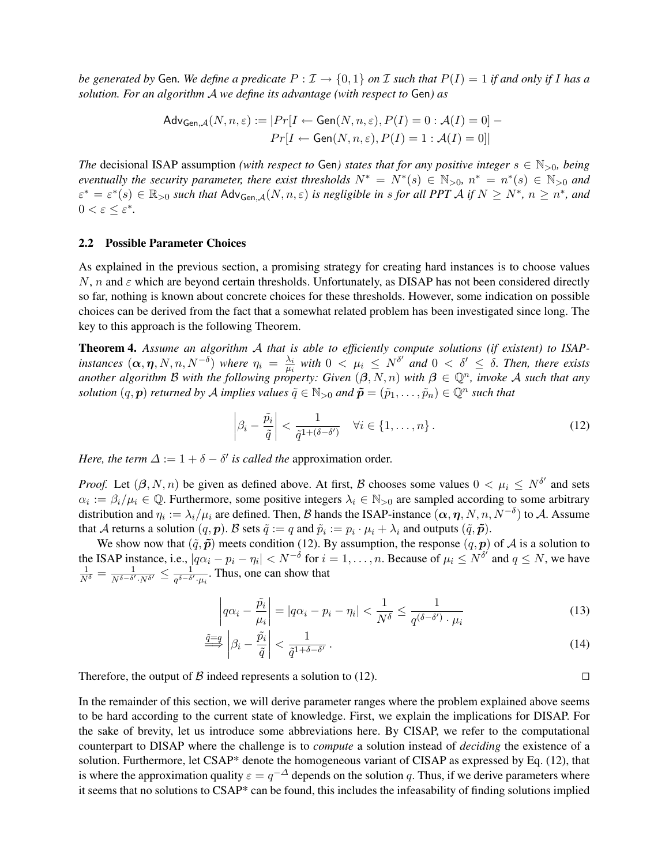*be generated by* Gen. We define a predicate  $P : \mathcal{I} \to \{0,1\}$  on  $\mathcal{I}$  such that  $P(I) = 1$  if and only if I has a *solution. For an algorithm* A *we define its advantage (with respect to* Gen*) as*

$$
\mathsf{Adv}_{\mathsf{Gen},\mathcal{A}}(N,n,\varepsilon) := |Pr[I \leftarrow \mathsf{Gen}(N,n,\varepsilon), P(I) = 0 : \mathcal{A}(I) = 0] -
$$

$$
Pr[I \leftarrow \mathsf{Gen}(N,n,\varepsilon), P(I) = 1 : \mathcal{A}(I) = 0]|
$$

*The* decisional ISAP assumption *(with respect to* Gen*)* states that for any positive integer  $s \in \mathbb{N}_{>0}$ , being *eventually the security parameter, there exist thresholds*  $N^* = N^*(s) \in \mathbb{N}_{>0}$ ,  $n^* = n^*(s) \in \mathbb{N}_{>0}$  and  $\varepsilon^* = \varepsilon^*(s) \in \mathbb{R}_{>0}$  such that  $\mathsf{Adv}_{\mathsf{Gen},\mathcal{A}}(N,n,\varepsilon)$  is negligible in s for all PPT A if  $N \geq N^*$ ,  $n \geq n^*$ , and  $0 < \varepsilon \leq \varepsilon^*$ .

#### 2.2 Possible Parameter Choices

As explained in the previous section, a promising strategy for creating hard instances is to choose values  $N$ , n and  $\varepsilon$  which are beyond certain thresholds. Unfortunately, as DISAP has not been considered directly so far, nothing is known about concrete choices for these thresholds. However, some indication on possible choices can be derived from the fact that a somewhat related problem has been investigated since long. The key to this approach is the following Theorem.

Theorem 4. *Assume an algorithm* A *that is able to efficiently compute solutions (if existent) to ISAPinstances*  $(\boldsymbol{\alpha}, \boldsymbol{\eta}, N, n, N^{-\delta})$  *where*  $\eta_i = \frac{\lambda_i}{\mu_i}$  $\frac{\lambda_i}{\mu_i}$  with  $0 < \mu_i \leq N^{\delta'}$  and  $0 < \delta' \leq \delta$ . Then, there exists *another algorithm B with the following property: Given*  $(\beta, N, n)$  *with*  $\beta \in \mathbb{Q}^n$ , *invoke* A such that any *solution*  $(q, p)$  *returned by A implies values*  $\tilde{q} \in \mathbb{N}_{>0}$  and  $\tilde{p} = (\tilde{p}_1, \ldots, \tilde{p}_n) \in \mathbb{Q}^n$  such that

$$
\left|\beta_i - \frac{\tilde{p}_i}{\tilde{q}}\right| < \frac{1}{\tilde{q}^{1+(\delta-\delta')}} \quad \forall i \in \{1, \dots, n\} \,. \tag{12}
$$

*Here, the term*  $\Delta := 1 + \delta - \delta'$  *is called the approximation order.* 

*Proof.* Let  $(\beta, N, n)$  be given as defined above. At first, B chooses some values  $0 < \mu_i \le N^{\delta'}$  and sets  $\alpha_i := \beta_i/\mu_i \in \mathbb{Q}$ . Furthermore, some positive integers  $\lambda_i \in \mathbb{N}_{>0}$  are sampled according to some arbitrary distribution and  $\eta_i:=\lambda_i/\mu_i$  are defined. Then,  ${\cal B}$  hands the ISAP-instance  $(\bm\alpha,\bm\eta,N,n,N^{-\delta})$  to  ${\cal A}.$  Assume that A returns a solution  $(q, p)$ . B sets  $\tilde{q} := q$  and  $\tilde{p}_i := p_i \cdot \mu_i + \lambda_i$  and outputs  $(\tilde{q}, \tilde{p})$ .

We show now that  $(\tilde{q}, \tilde{p})$  meets condition (12). By assumption, the response  $(q, p)$  of A is a solution to the ISAP instance, i.e.,  $|q\alpha_i - p_i - \eta_i| < N^{-\delta}$  for  $i = 1, \dots, n$ . Because of  $\mu_i \le N^{\delta'}$  and  $q \le N$ , we have  $\frac{1}{N^{\delta}} = \frac{1}{N^{\delta-\delta'}}$  $\frac{1}{N^{\delta-\delta^\prime}\cdot N^{\delta^\prime}}\leq \frac{1}{q^{\delta-\delta^\prime}}$  $\frac{1}{q^{\delta-\delta'}\cdot\mu_i}$ . Thus, one can show that

$$
\left| q\alpha_i - \frac{\tilde{p}_i}{\mu_i} \right| = \left| q\alpha_i - p_i - \eta_i \right| < \frac{1}{N^\delta} \le \frac{1}{q^{(\delta - \delta')} \cdot \mu_i} \tag{13}
$$

$$
\frac{\tilde{q}=q}{\tilde{\beta}} \left| \beta_i - \frac{\tilde{p}_i}{\tilde{q}} \right| < \frac{1}{\tilde{q}^{1+\delta-\delta'}} \,. \tag{14}
$$

Therefore, the output of B indeed represents a solution to (12).  $\Box$ 

In the remainder of this section, we will derive parameter ranges where the problem explained above seems to be hard according to the current state of knowledge. First, we explain the implications for DISAP. For the sake of brevity, let us introduce some abbreviations here. By CISAP, we refer to the computational counterpart to DISAP where the challenge is to *compute* a solution instead of *deciding* the existence of a solution. Furthermore, let CSAP\* denote the homogeneous variant of CISAP as expressed by Eq. (12), that is where the approximation quality  $\varepsilon = q^{-\Delta}$  depends on the solution q. Thus, if we derive parameters where it seems that no solutions to CSAP\* can be found, this includes the infeasability of finding solutions implied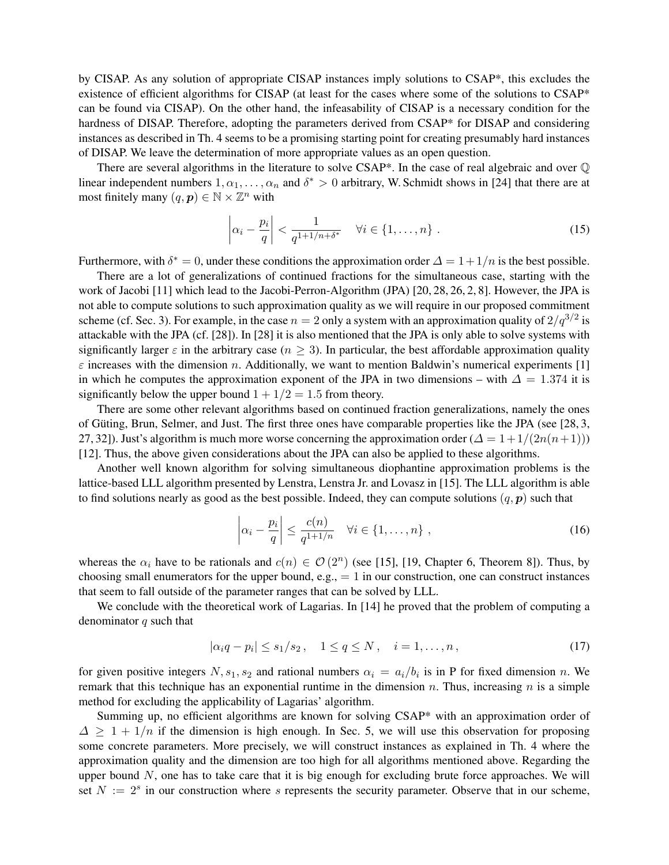by CISAP. As any solution of appropriate CISAP instances imply solutions to CSAP\*, this excludes the existence of efficient algorithms for CISAP (at least for the cases where some of the solutions to CSAP\* can be found via CISAP). On the other hand, the infeasability of CISAP is a necessary condition for the hardness of DISAP. Therefore, adopting the parameters derived from CSAP\* for DISAP and considering instances as described in Th. 4 seems to be a promising starting point for creating presumably hard instances of DISAP. We leave the determination of more appropriate values as an open question.

There are several algorithms in the literature to solve  $CSAP^*$ . In the case of real algebraic and over  $\mathbb Q$ linear independent numbers  $1, \alpha_1, \ldots, \alpha_n$  and  $\delta^* > 0$  arbitrary, W. Schmidt shows in [24] that there are at most finitely many  $(q, p) \in \mathbb{N} \times \mathbb{Z}^n$  with

$$
\left|\alpha_i - \frac{p_i}{q}\right| < \frac{1}{q^{1+1/n+\delta^*}} \quad \forall i \in \{1, \dots, n\} \tag{15}
$$

Furthermore, with  $\delta^* = 0$ , under these conditions the approximation order  $\Delta = 1 + 1/n$  is the best possible.

There are a lot of generalizations of continued fractions for the simultaneous case, starting with the work of Jacobi [11] which lead to the Jacobi-Perron-Algorithm (JPA) [20, 28, 26, 2, 8]. However, the JPA is not able to compute solutions to such approximation quality as we will require in our proposed commitment scheme (cf. Sec. 3). For example, in the case  $n = 2$  only a system with an approximation quality of  $2/q^{3/2}$  is attackable with the JPA (cf. [28]). In [28] it is also mentioned that the JPA is only able to solve systems with significantly larger  $\varepsilon$  in the arbitrary case ( $n > 3$ ). In particular, the best affordable approximation quality  $\varepsilon$  increases with the dimension n. Additionally, we want to mention Baldwin's numerical experiments [1] in which he computes the approximation exponent of the JPA in two dimensions – with  $\Delta = 1.374$  it is significantly below the upper bound  $1 + 1/2 = 1.5$  from theory.

There are some other relevant algorithms based on continued fraction generalizations, namely the ones of Güting, Brun, Selmer, and Just. The first three ones have comparable properties like the JPA (see [28, 3, 27, 32]). Just's algorithm is much more worse concerning the approximation order ( $\Delta = 1 + 1/(2n(n+1))$ ) [12]. Thus, the above given considerations about the JPA can also be applied to these algorithms.

Another well known algorithm for solving simultaneous diophantine approximation problems is the lattice-based LLL algorithm presented by Lenstra, Lenstra Jr. and Lovasz in [15]. The LLL algorithm is able to find solutions nearly as good as the best possible. Indeed, they can compute solutions  $(q, p)$  such that

$$
\left|\alpha_i - \frac{p_i}{q}\right| \le \frac{c(n)}{q^{1+1/n}} \quad \forall i \in \{1, \dots, n\} \tag{16}
$$

whereas the  $\alpha_i$  have to be rationals and  $c(n) \in \mathcal{O}(2^n)$  (see [15], [19, Chapter 6, Theorem 8]). Thus, by choosing small enumerators for the upper bound, e.g.,  $= 1$  in our construction, one can construct instances that seem to fall outside of the parameter ranges that can be solved by LLL.

We conclude with the theoretical work of Lagarias. In [14] he proved that the problem of computing a denominator  $q$  such that

$$
|\alpha_i q - p_i| \le s_1/s_2, \quad 1 \le q \le N, \quad i = 1, ..., n,
$$
\n(17)

for given positive integers  $N, s_1, s_2$  and rational numbers  $\alpha_i = a_i/b_i$  is in P for fixed dimension n. We remark that this technique has an exponential runtime in the dimension n. Thus, increasing n is a simple method for excluding the applicability of Lagarias' algorithm.

Summing up, no efficient algorithms are known for solving CSAP\* with an approximation order of  $\Delta \geq 1 + 1/n$  if the dimension is high enough. In Sec. 5, we will use this observation for proposing some concrete parameters. More precisely, we will construct instances as explained in Th. 4 where the approximation quality and the dimension are too high for all algorithms mentioned above. Regarding the upper bound  $N$ , one has to take care that it is big enough for excluding brute force approaches. We will set  $N := 2<sup>s</sup>$  in our construction where s represents the security parameter. Observe that in our scheme,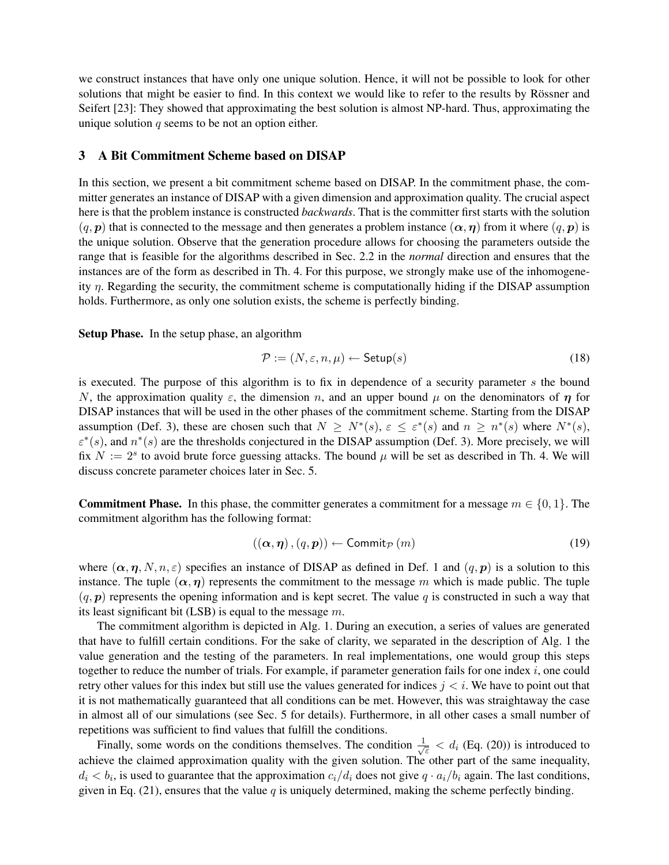we construct instances that have only one unique solution. Hence, it will not be possible to look for other solutions that might be easier to find. In this context we would like to refer to the results by Rössner and Seifert [23]: They showed that approximating the best solution is almost NP-hard. Thus, approximating the unique solution  $q$  seems to be not an option either.

# 3 A Bit Commitment Scheme based on DISAP

In this section, we present a bit commitment scheme based on DISAP. In the commitment phase, the committer generates an instance of DISAP with a given dimension and approximation quality. The crucial aspect here is that the problem instance is constructed *backwards*. That is the committer first starts with the solution  $(q, p)$  that is connected to the message and then generates a problem instance  $(\alpha, \eta)$  from it where  $(q, p)$  is the unique solution. Observe that the generation procedure allows for choosing the parameters outside the range that is feasible for the algorithms described in Sec. 2.2 in the *normal* direction and ensures that the instances are of the form as described in Th. 4. For this purpose, we strongly make use of the inhomogeneity  $\eta$ . Regarding the security, the commitment scheme is computationally hiding if the DISAP assumption holds. Furthermore, as only one solution exists, the scheme is perfectly binding.

Setup Phase. In the setup phase, an algorithm

$$
\mathcal{P} := (N, \varepsilon, n, \mu) \leftarrow \mathsf{Setup}(s) \tag{18}
$$

is executed. The purpose of this algorithm is to fix in dependence of a security parameter s the bound N, the approximation quality  $\varepsilon$ , the dimension n, and an upper bound  $\mu$  on the denominators of  $\eta$  for DISAP instances that will be used in the other phases of the commitment scheme. Starting from the DISAP assumption (Def. 3), these are chosen such that  $N \ge N^*(s)$ ,  $\varepsilon \le \varepsilon^*(s)$  and  $n \ge n^*(s)$  where  $N^*(s)$ ,  $\varepsilon^*(s)$ , and  $n^*(s)$  are the thresholds conjectured in the DISAP assumption (Def. 3). More precisely, we will fix  $N := 2<sup>s</sup>$  to avoid brute force guessing attacks. The bound  $\mu$  will be set as described in Th. 4. We will discuss concrete parameter choices later in Sec. 5.

**Commitment Phase.** In this phase, the committer generates a commitment for a message  $m \in \{0, 1\}$ . The commitment algorithm has the following format:

$$
((\alpha, \eta), (q, p)) \leftarrow \text{Commit}_{\mathcal{P}}(m) \tag{19}
$$

where  $(\alpha, \eta, N, n, \varepsilon)$  specifies an instance of DISAP as defined in Def. 1 and  $(q, p)$  is a solution to this instance. The tuple  $(\alpha, \eta)$  represents the commitment to the message m which is made public. The tuple  $(q, p)$  represents the opening information and is kept secret. The value q is constructed in such a way that its least significant bit (LSB) is equal to the message  $m$ .

The commitment algorithm is depicted in Alg. 1. During an execution, a series of values are generated that have to fulfill certain conditions. For the sake of clarity, we separated in the description of Alg. 1 the value generation and the testing of the parameters. In real implementations, one would group this steps together to reduce the number of trials. For example, if parameter generation fails for one index  $i$ , one could retry other values for this index but still use the values generated for indices  $j < i$ . We have to point out that it is not mathematically guaranteed that all conditions can be met. However, this was straightaway the case in almost all of our simulations (see Sec. 5 for details). Furthermore, in all other cases a small number of repetitions was sufficient to find values that fulfill the conditions.

Finally, some words on the conditions themselves. The condition  $\frac{1}{\sqrt{2}}$  $\frac{1}{\epsilon}$  <  $d_i$  (Eq. (20)) is introduced to achieve the claimed approximation quality with the given solution. The other part of the same inequality,  $d_i < b_i$ , is used to guarantee that the approximation  $c_i/d_i$  does not give  $q \cdot a_i/b_i$  again. The last conditions, given in Eq. (21), ensures that the value  $q$  is uniquely determined, making the scheme perfectly binding.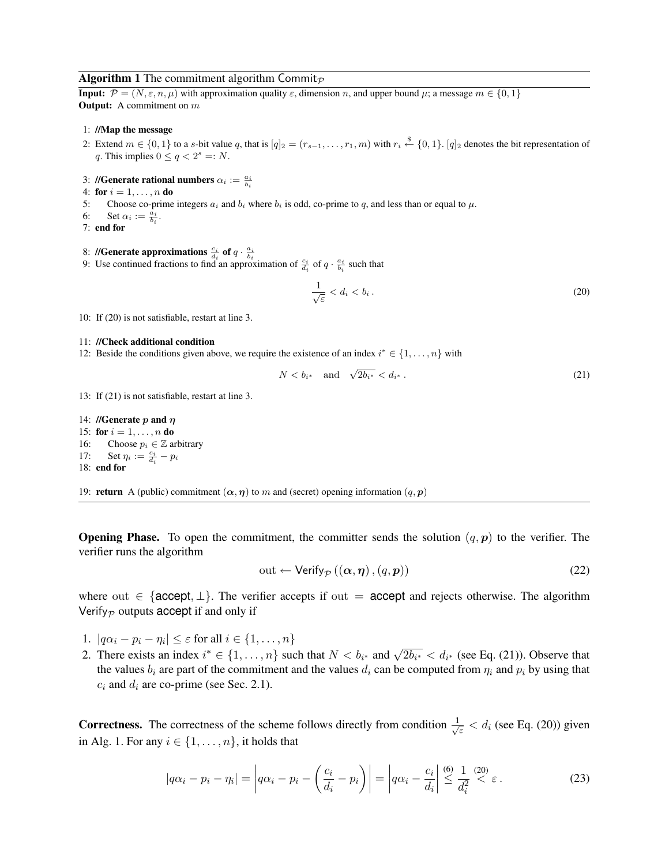#### **Algorithm 1** The commitment algorithm Commit<sub>p</sub>

**Input:**  $\mathcal{P} = (N, \varepsilon, n, \mu)$  with approximation quality  $\varepsilon$ , dimension n, and upper bound  $\mu$ ; a message  $m \in \{0, 1\}$ **Output:** A commitment on  $m$ 

#### 1: //Map the message

- 2: Extend  $m \in \{0,1\}$  to a s-bit value q, that is  $[q]_2 = (r_{s-1}, \ldots, r_1, m)$  with  $r_i \stackrel{\$}{\leftarrow} \{0,1\}$ .  $[q]_2$  denotes the bit representation of q. This implies  $0 \le q < 2^s =: N$ .
- 3: //Generate rational numbers  $\alpha_i := \frac{a_i}{b_i}$
- 4: for  $i = 1, ..., n$  do
- 5: Choose co-prime integers  $a_i$  and  $b_i$  where  $b_i$  is odd, co-prime to q, and less than or equal to  $\mu$ .
- 6: Set  $\alpha_i := \frac{\overline{a_i}}{b_i}$ .
- 7: end for
- 8: //Generate approximations  $\frac{c_i}{d_i}$  of  $q \cdot \frac{a_i}{b_i}$
- 9: Use continued fractions to find an approximation of  $\frac{c_i}{d_i}$  of  $q \cdot \frac{a_i}{b_i}$  such that

$$
\frac{1}{\sqrt{\varepsilon}} < d_i < b_i \,. \tag{20}
$$

10: If (20) is not satisfiable, restart at line 3.

#### 11: //Check additional condition

12: Beside the conditions given above, we require the existence of an index  $i^* \in \{1, \ldots, n\}$  with

$$
N < b_{i^*} \quad \text{and} \quad \sqrt{2b_{i^*}} < d_{i^*} \,. \tag{21}
$$

13: If (21) is not satisfiable, restart at line 3.

14: //Generate  $p$  and  $\eta$ 15: for  $i = 1, ..., n$  do 16: Choose  $p_i \in \mathbb{Z}$  arbitrary 17: Set  $\eta_i := \frac{c_i}{d_i} - p_i$ 18: end for

19: **return** A (public) commitment  $(\alpha, \eta)$  to m and (secret) opening information  $(q, p)$ 

**Opening Phase.** To open the commitment, the committer sends the solution  $(q, p)$  to the verifier. The verifier runs the algorithm

$$
out \leftarrow \text{Verify}_{\mathcal{P}}\left(\left(\boldsymbol{\alpha}, \boldsymbol{\eta}\right), \left(q, \boldsymbol{p}\right)\right) \tag{22}
$$

where out  $\in$  {accept,  $\perp$ }. The verifier accepts if out = accept and rejects otherwise. The algorithm Verify $_{\mathcal{P}}$  outputs accept if and only if

- 1.  $|q\alpha_i p_i \eta_i| \leq \varepsilon$  for all  $i \in \{1, \dots, n\}$
- 2. There exists an index  $i^* \in \{1, ..., n\}$  such that  $N < b_{i^*}$  and  $\sqrt{2b_{i^*}} < d_{i^*}$  (see Eq. (21)). Observe that the values  $b_i$  are part of the commitment and the values  $d_i$  can be computed from  $\eta_i$  and  $p_i$  by using that  $c_i$  and  $d_i$  are co-prime (see Sec. 2.1).

**Correctness.** The correctness of the scheme follows directly from condition  $\frac{1}{\sqrt{2}}$  $\frac{1}{\varepsilon}$  <  $d_i$  (see Eq. (20)) given in Alg. 1. For any  $i \in \{1, \ldots, n\}$ , it holds that

$$
|q\alpha_i - p_i - \eta_i| = \left| q\alpha_i - p_i - \left(\frac{c_i}{d_i} - p_i\right) \right| = \left| q\alpha_i - \frac{c_i}{d_i} \right| \stackrel{(6)}{\leq} \frac{1}{d_i^2} \stackrel{(20)}{\leq} \varepsilon.
$$
 (23)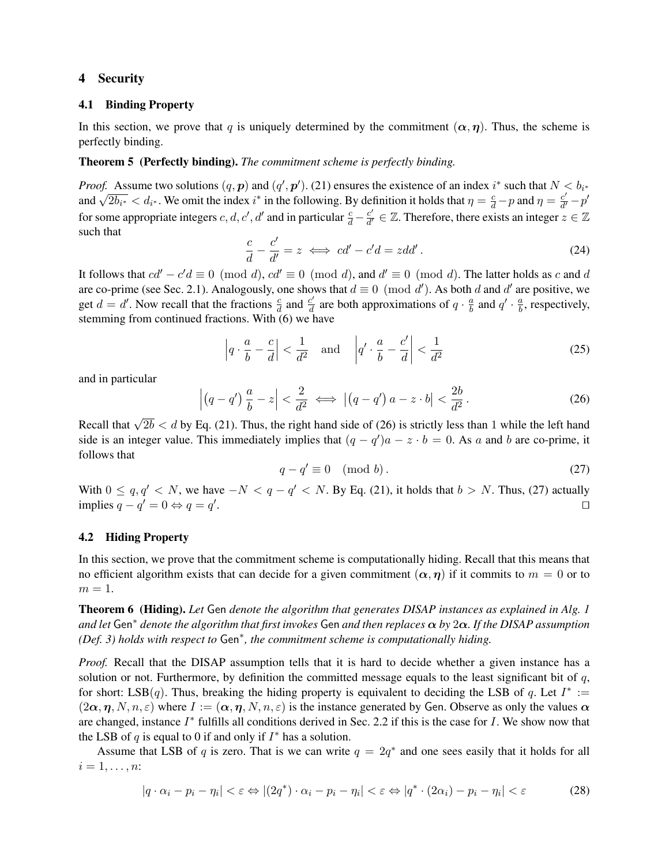# 4 Security

### 4.1 Binding Property

In this section, we prove that q is uniquely determined by the commitment  $(\alpha, \eta)$ . Thus, the scheme is perfectly binding.

### Theorem 5 (Perfectly binding). *The commitment scheme is perfectly binding.*

*Proof.* Assume two solutions  $(q, p)$  and  $(q', p')$ . (21) ensures the existence of an index i<sup>\*</sup> such that  $N < b_{i^*}$ *Assume two solutions*  $(q, p)$  and  $(q, p)$ . (21) ensures the existence of an index  $i$  such that  $N$  and  $\sqrt{2b_{i^*}} < d_{i^*}$ . We omit the index  $i^*$  in the following. By definition it holds that  $\eta = \frac{c}{d} - p$  and  $\eta = \frac{c$  $\frac{c'}{d'}-p'$ for some appropriate integers *c*, *d*, *c'*, *d'* and in particular  $\frac{c}{d} - \frac{c'}{d'}$  $\frac{c'}{d'} \in \mathbb{Z}$ . Therefore, there exists an integer  $z \in \mathbb{Z}$ such that

$$
\frac{c}{d} - \frac{c'}{d'} = z \iff cd' - c'd = zdd'.
$$
\n(24)

It follows that  $cd' - c'd \equiv 0 \pmod{d}$ ,  $cd' \equiv 0 \pmod{d}$ , and  $d' \equiv 0 \pmod{d}$ . The latter holds as c and d are co-prime (see Sec. 2.1). Analogously, one shows that  $d \equiv 0 \pmod{d'}$ . As both d and d' are positive, we get  $d = d'$ . Now recall that the fractions  $\frac{c}{d}$  and  $\frac{c'}{d}$  $\frac{c'}{d}$  are both approximations of  $q \cdot \frac{a}{b}$  $\frac{a}{b}$  and  $q' \cdot \frac{a}{b}$  $\frac{a}{b}$ , respectively, stemming from continued fractions. With (6) we have

$$
\left| q \cdot \frac{a}{b} - \frac{c}{d} \right| < \frac{1}{d^2} \quad \text{and} \quad \left| q' \cdot \frac{a}{b} - \frac{c'}{d} \right| < \frac{1}{d^2} \tag{25}
$$

and in particular

$$
\left| \left( q - q' \right) \frac{a}{b} - z \right| < \frac{2}{d^2} \iff \left| \left( q - q' \right) a - z \cdot b \right| < \frac{2b}{d^2} \,. \tag{26}
$$

Recall that  $\sqrt{2b} < d$  by Eq. (21). Thus, the right hand side of (26) is strictly less than 1 while the left hand side is an integer value. This immediately implies that  $(q - q')a - z \cdot b = 0$ . As a and b are co-prime, it follows that

$$
q - q' \equiv 0 \pmod{b} \,. \tag{27}
$$

With  $0 \le q, q' < N$ , we have  $-N < q - q' < N$ . By Eq. (21), it holds that  $b > N$ . Thus, (27) actually implies  $q - q' = 0 \Leftrightarrow q = q'$ . The contract of the contract of the contract of the contract of the contract of the contract of the contract of the contract of the contract of the contract of the contract of the contract of the contract of the contract

### 4.2 Hiding Property

In this section, we prove that the commitment scheme is computationally hiding. Recall that this means that no efficient algorithm exists that can decide for a given commitment  $(\alpha, \eta)$  if it commits to  $m = 0$  or to  $m=1.$ 

Theorem 6 (Hiding). *Let* Gen *denote the algorithm that generates DISAP instances as explained in Alg. 1 and let* Gen<sup>∗</sup> *denote the algorithm that first invokes* Gen *and then replaces* α *by* 2α*. If the DISAP assumption (Def. 3) holds with respect to* Gen<sup>∗</sup> *, the commitment scheme is computationally hiding.*

*Proof.* Recall that the DISAP assumption tells that it is hard to decide whether a given instance has a solution or not. Furthermore, by definition the committed message equals to the least significant bit of  $q$ , for short: LSB(q). Thus, breaking the hiding property is equivalent to deciding the LSB of q. Let  $I^* :=$  $(2\alpha, \eta, N, n, \varepsilon)$  where  $I := (\alpha, \eta, N, n, \varepsilon)$  is the instance generated by Gen. Observe as only the values  $\alpha$ are changed, instance  $I^*$  fulfills all conditions derived in Sec. 2.2 if this is the case for  $I$ . We show now that the LSB of  $q$  is equal to 0 if and only if  $I^*$  has a solution.

Assume that LSB of q is zero. That is we can write  $q = 2q^*$  and one sees easily that it holds for all  $i=1,\ldots,n$ :

$$
|q \cdot \alpha_i - p_i - \eta_i| < \varepsilon \Leftrightarrow |(2q^*) \cdot \alpha_i - p_i - \eta_i| < \varepsilon \Leftrightarrow |q^* \cdot (2\alpha_i) - p_i - \eta_i| < \varepsilon \tag{28}
$$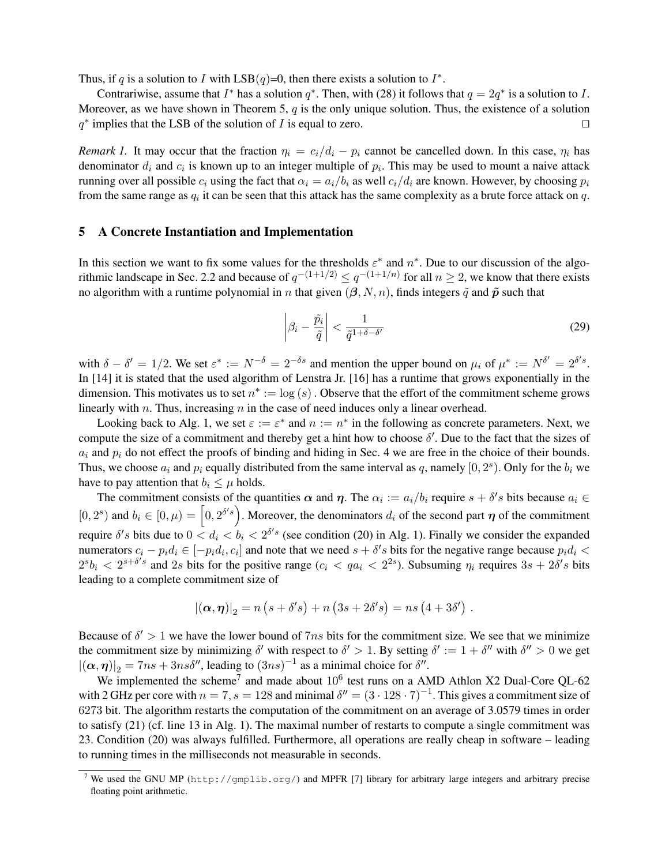Thus, if q is a solution to I with  $LSB(q)=0$ , then there exists a solution to  $I^*$ .

Contrariwise, assume that  $I^*$  has a solution  $q^*$ . Then, with (28) it follows that  $q = 2q^*$  is a solution to I. Moreover, as we have shown in Theorem 5,  $q$  is the only unique solution. Thus, the existence of a solution  $q^*$  implies that the LSB of the solution of *I* is equal to zero.

*Remark 1.* It may occur that the fraction  $\eta_i = c_i/d_i - p_i$  cannot be cancelled down. In this case,  $\eta_i$  has denominator  $d_i$  and  $c_i$  is known up to an integer multiple of  $p_i$ . This may be used to mount a naive attack running over all possible  $c_i$  using the fact that  $\alpha_i = a_i/b_i$  as well  $c_i/d_i$  are known. However, by choosing  $p_i$ from the same range as  $q_i$  it can be seen that this attack has the same complexity as a brute force attack on  $q$ .

### 5 A Concrete Instantiation and Implementation

In this section we want to fix some values for the thresholds  $\varepsilon^*$  and  $n^*$ . Due to our discussion of the algorithmic landscape in Sec. 2.2 and because of  $q^{-(1+1/2)} \leq q^{-(1+1/n)}$  for all  $n \geq 2$ , we know that there exists no algorithm with a runtime polynomial in n that given  $(\beta, N, n)$ , finds integers  $\tilde{q}$  and  $\tilde{p}$  such that

$$
\left|\beta_i - \frac{\tilde{p}_i}{\tilde{q}}\right| < \frac{1}{\tilde{q}^{1+\delta-\delta'}}\tag{29}
$$

with  $\delta - \delta' = 1/2$ . We set  $\varepsilon^* := N^{-\delta} = 2^{-\delta s}$  and mention the upper bound on  $\mu_i$  of  $\mu^* := N^{\delta'} = 2^{\delta' s}$ . In [14] it is stated that the used algorithm of Lenstra Jr. [16] has a runtime that grows exponentially in the dimension. This motivates us to set  $n^* := \log(s)$ . Observe that the effort of the commitment scheme grows linearly with  $n$ . Thus, increasing  $n$  in the case of need induces only a linear overhead.

Looking back to Alg. 1, we set  $\varepsilon := \varepsilon^*$  and  $n := n^*$  in the following as concrete parameters. Next, we compute the size of a commitment and thereby get a hint how to choose  $\delta'$ . Due to the fact that the sizes of  $a_i$  and  $p_i$  do not effect the proofs of binding and hiding in Sec. 4 we are free in the choice of their bounds. Thus, we choose  $a_i$  and  $p_i$  equally distributed from the same interval as q, namely  $[0, 2<sup>s</sup>)$ . Only for the  $b_i$  we have to pay attention that  $b_i \leq \mu$  holds.

The commitment consists of the quantities  $\alpha$  and  $\eta$ . The  $\alpha_i := a_i/b_i$  require  $s + \delta's$  bits because  $a_i \in$  $[0, 2^s)$  and  $b_i \in [0, \mu) = [0, 2^{\delta' s})$ . Moreover, the denominators  $d_i$  of the second part  $\eta$  of the commitment require  $\delta' s$  bits due to  $0 < d_i < b_i < 2^{\delta' s}$  (see condition (20) in Alg. 1). Finally we consider the expanded numerators  $c_i - p_i d_i \in [-p_i d_i, c_i]$  and note that we need  $s + \delta's$  bits for the negative range because  $p_i d_i$  $2^{s}b_i < 2^{s+\delta' s}$  and 2s bits for the positive range  $(c_i < qa_i < 2^{2s})$ . Subsuming  $\eta_i$  requires  $3s + 2\delta' s$  bits leading to a complete commitment size of

$$
|(\boldsymbol{\alpha},\boldsymbol{\eta})|_2 = n (s + \delta' s) + n (3s + 2\delta' s) = ns (4 + 3\delta') .
$$

Because of  $\delta' > 1$  we have the lower bound of  $7ns$  bits for the commitment size. We see that we minimize the commitment size by minimizing  $\delta'$  with respect to  $\delta' > 1$ . By setting  $\delta' := 1 + \delta''$  with  $\delta'' > 0$  we get  $|(\alpha, \eta)|_2 = 7ns + 3ns\delta'',$  leading to  $(3ns)^{-1}$  as a minimal choice for  $\delta''.$ 

We implemented the scheme<sup>7</sup> and made about  $10^6$  test runs on a AMD Athlon X2 Dual-Core QL-62 with 2 GHz per core with  $n = 7$ ,  $s = 128$  and minimal  $\delta'' = (3 \cdot 128 \cdot 7)^{-1}$ . This gives a commitment size of 6273 bit. The algorithm restarts the computation of the commitment on an average of 3.0579 times in order to satisfy (21) (cf. line 13 in Alg. 1). The maximal number of restarts to compute a single commitment was 23. Condition (20) was always fulfilled. Furthermore, all operations are really cheap in software – leading to running times in the milliseconds not measurable in seconds.

<sup>7</sup> We used the GNU MP (http://gmplib.org/) and MPFR [7] library for arbitrary large integers and arbitrary precise floating point arithmetic.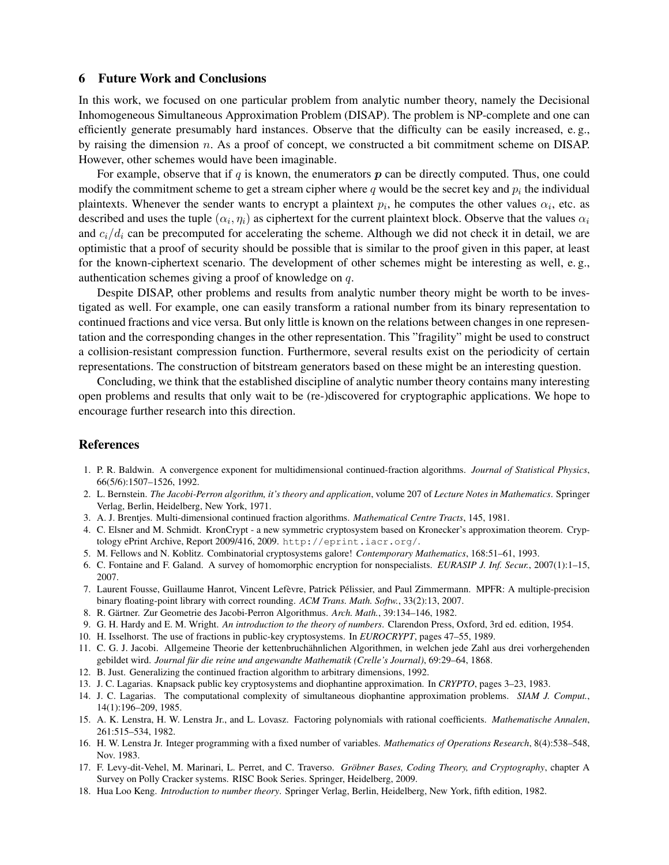## 6 Future Work and Conclusions

In this work, we focused on one particular problem from analytic number theory, namely the Decisional Inhomogeneous Simultaneous Approximation Problem (DISAP). The problem is NP-complete and one can efficiently generate presumably hard instances. Observe that the difficulty can be easily increased, e. g., by raising the dimension  $n$ . As a proof of concept, we constructed a bit commitment scheme on DISAP. However, other schemes would have been imaginable.

For example, observe that if  $q$  is known, the enumerators  $p$  can be directly computed. Thus, one could modify the commitment scheme to get a stream cipher where q would be the secret key and  $p_i$  the individual plaintexts. Whenever the sender wants to encrypt a plaintext  $p_i$ , he computes the other values  $\alpha_i$ , etc. as described and uses the tuple  $(\alpha_i, \eta_i)$  as ciphertext for the current plaintext block. Observe that the values  $\alpha_i$ and  $c_i/d_i$  can be precomputed for accelerating the scheme. Although we did not check it in detail, we are optimistic that a proof of security should be possible that is similar to the proof given in this paper, at least for the known-ciphertext scenario. The development of other schemes might be interesting as well, e. g., authentication schemes giving a proof of knowledge on q.

Despite DISAP, other problems and results from analytic number theory might be worth to be investigated as well. For example, one can easily transform a rational number from its binary representation to continued fractions and vice versa. But only little is known on the relations between changes in one representation and the corresponding changes in the other representation. This "fragility" might be used to construct a collision-resistant compression function. Furthermore, several results exist on the periodicity of certain representations. The construction of bitstream generators based on these might be an interesting question.

Concluding, we think that the established discipline of analytic number theory contains many interesting open problems and results that only wait to be (re-)discovered for cryptographic applications. We hope to encourage further research into this direction.

# References

- 1. P. R. Baldwin. A convergence exponent for multidimensional continued-fraction algorithms. *Journal of Statistical Physics*, 66(5/6):1507–1526, 1992.
- 2. L. Bernstein. *The Jacobi-Perron algorithm, it's theory and application*, volume 207 of *Lecture Notes in Mathematics*. Springer Verlag, Berlin, Heidelberg, New York, 1971.
- 3. A. J. Brentjes. Multi-dimensional continued fraction algorithms. *Mathematical Centre Tracts*, 145, 1981.
- 4. C. Elsner and M. Schmidt. KronCrypt a new symmetric cryptosystem based on Kronecker's approximation theorem. Cryptology ePrint Archive, Report 2009/416, 2009. http://eprint.iacr.org/.
- 5. M. Fellows and N. Koblitz. Combinatorial cryptosystems galore! *Contemporary Mathematics*, 168:51–61, 1993.
- 6. C. Fontaine and F. Galand. A survey of homomorphic encryption for nonspecialists. *EURASIP J. Inf. Secur.*, 2007(1):1–15, 2007.
- 7. Laurent Fousse, Guillaume Hanrot, Vincent Lefèvre, Patrick Pélissier, and Paul Zimmermann. MPFR: A multiple-precision binary floating-point library with correct rounding. *ACM Trans. Math. Softw.*, 33(2):13, 2007.
- 8. R. Gärtner. Zur Geometrie des Jacobi-Perron Algorithmus. Arch. Math., 39:134–146, 1982.
- 9. G. H. Hardy and E. M. Wright. *An introduction to the theory of numbers*. Clarendon Press, Oxford, 3rd ed. edition, 1954.
- 10. H. Isselhorst. The use of fractions in public-key cryptosystems. In *EUROCRYPT*, pages 47–55, 1989.
- 11. C. G. J. Jacobi. Allgemeine Theorie der kettenbruchahnlichen Algorithmen, in welchen jede Zahl aus drei vorhergehenden ¨ gebildet wird. *Journal für die reine und angewandte Mathematik (Crelle's Journal)*, 69:29–64, 1868.
- 12. B. Just. Generalizing the continued fraction algorithm to arbitrary dimensions, 1992.
- 13. J. C. Lagarias. Knapsack public key cryptosystems and diophantine approximation. In *CRYPTO*, pages 3–23, 1983.
- 14. J. C. Lagarias. The computational complexity of simultaneous diophantine approximation problems. *SIAM J. Comput.*, 14(1):196–209, 1985.
- 15. A. K. Lenstra, H. W. Lenstra Jr., and L. Lovasz. Factoring polynomials with rational coefficients. *Mathematische Annalen*, 261:515–534, 1982.
- 16. H. W. Lenstra Jr. Integer programming with a fixed number of variables. *Mathematics of Operations Research*, 8(4):538–548, Nov. 1983.
- 17. F. Levy-dit-Vehel, M. Marinari, L. Perret, and C. Traverso. *Gröbner Bases, Coding Theory, and Cryptography*, chapter A Survey on Polly Cracker systems. RISC Book Series. Springer, Heidelberg, 2009.
- 18. Hua Loo Keng. *Introduction to number theory*. Springer Verlag, Berlin, Heidelberg, New York, fifth edition, 1982.